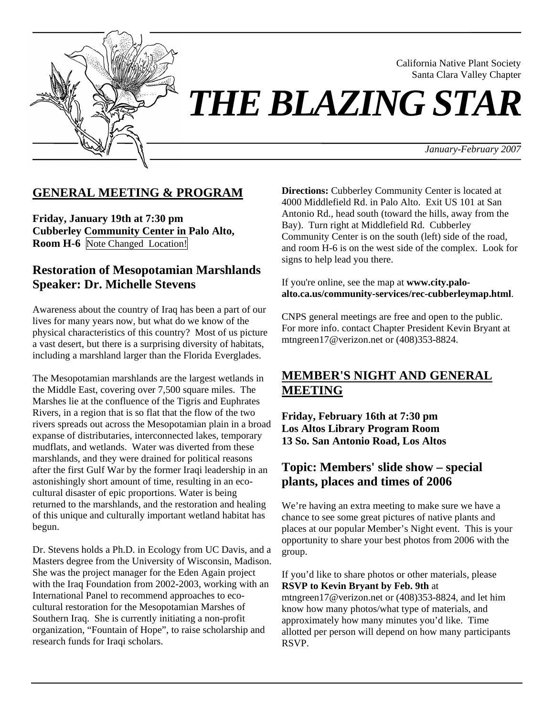

California Native Plant Society Santa Clara Valley Chapter

# *THE BLAZING STAR*

*January-February 2007*

## **GENERAL MEETING & PROGRAM**

**Friday, January 19th at 7:30 pm Cubberley Community Center in Palo Alto, Room H-6** Note Changed Location!

## **Restoration of Mesopotamian Marshlands Speaker: Dr. Michelle Stevens**

Awareness about the country of Iraq has been a part of our lives for many years now, but what do we know of the physical characteristics of this country? Most of us picture a vast desert, but there is a surprising diversity of habitats, including a marshland larger than the Florida Everglades.

The Mesopotamian marshlands are the largest wetlands in the Middle East, covering over 7,500 square miles. The Marshes lie at the confluence of the Tigris and Euphrates Rivers, in a region that is so flat that the flow of the two rivers spreads out across the Mesopotamian plain in a broad expanse of distributaries, interconnected lakes, temporary mudflats, and wetlands. Water was diverted from these marshlands, and they were drained for political reasons after the first Gulf War by the former Iraqi leadership in an astonishingly short amount of time, resulting in an ecocultural disaster of epic proportions. Water is being returned to the marshlands, and the restoration and healing of this unique and culturally important wetland habitat has begun.

Dr. Stevens holds a Ph.D. in Ecology from UC Davis, and a Masters degree from the University of Wisconsin, Madison. She was the project manager for the Eden Again project with the Iraq Foundation from 2002-2003, working with an International Panel to recommend approaches to ecocultural restoration for the Mesopotamian Marshes of Southern Iraq. She is currently initiating a non-profit organization, "Fountain of Hope", to raise scholarship and research funds for Iraqi scholars.

**Directions:** Cubberley Community Center is located at 4000 Middlefield Rd. in Palo Alto. Exit US 101 at San Antonio Rd., head south (toward the hills, away from the Bay). Turn right at Middlefield Rd. Cubberley Community Center is on the south (left) side of the road, and room H-6 is on the west side of the complex. Look for signs to help lead you there.

#### If you're online, see the map at **www.city.paloalto.ca.us/community-services/rec-cubberleymap.html**.

CNPS general meetings are free and open to the public. For more info. contact Chapter President Kevin Bryant at mtngreen17@verizon.net or (408)353-8824.

# **MEMBER'S NIGHT AND GENERAL MEETING**

**Friday, February 16th at 7:30 pm Los Altos Library Program Room 13 So. San Antonio Road, Los Altos** 

# **Topic: Members' slide show – special plants, places and times of 2006**

We're having an extra meeting to make sure we have a chance to see some great pictures of native plants and places at our popular Member's Night event. This is your opportunity to share your best photos from 2006 with the group.

If you'd like to share photos or other materials, please **RSVP to Kevin Bryant by Feb. 9th** at mtngreen17@verizon.net or (408)353-8824, and let him know how many photos/what type of materials, and approximately how many minutes you'd like. Time allotted per person will depend on how many participants RSVP.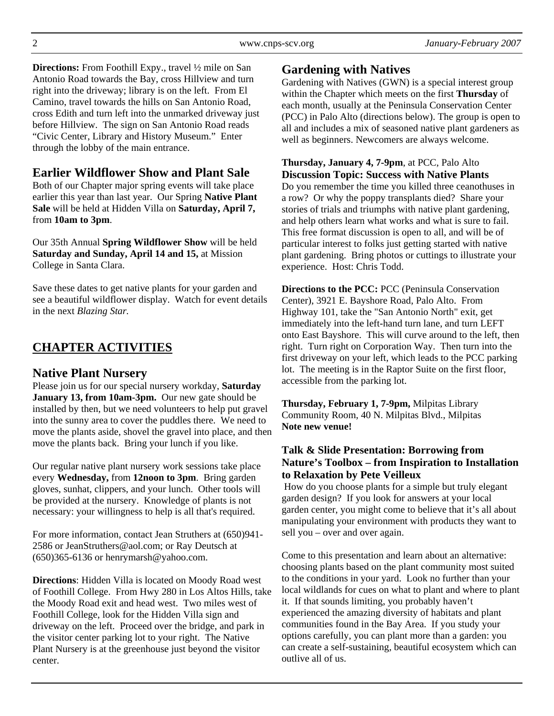**Directions:** From Foothill Expy., travel ½ mile on San Antonio Road towards the Bay, cross Hillview and turn right into the driveway; library is on the left. From El Camino, travel towards the hills on San Antonio Road, cross Edith and turn left into the unmarked driveway just before Hillview. The sign on San Antonio Road reads "Civic Center, Library and History Museum." Enter through the lobby of the main entrance.

# **Earlier Wildflower Show and Plant Sale**

Both of our Chapter major spring events will take place earlier this year than last year. Our Spring **Native Plant Sale** will be held at Hidden Villa on **Saturday, April 7,**  from **10am to 3pm**.

Our 35th Annual **Spring Wildflower Show** will be held **Saturday and Sunday, April 14 and 15,** at Mission College in Santa Clara.

Save these dates to get native plants for your garden and see a beautiful wildflower display. Watch for event details in the next *Blazing Star.* 

# **CHAPTER ACTIVITIES**

## **Native Plant Nursery**

Please join us for our special nursery workday, **Saturday January 13, from 10am-3pm.** Our new gate should be installed by then, but we need volunteers to help put gravel into the sunny area to cover the puddles there. We need to move the plants aside, shovel the gravel into place, and then move the plants back. Bring your lunch if you like.

Our regular native plant nursery work sessions take place every **Wednesday,** from **12noon to 3pm**. Bring garden gloves, sunhat, clippers, and your lunch. Other tools will be provided at the nursery. Knowledge of plants is not necessary: your willingness to help is all that's required.

For more information, contact Jean Struthers at (650)941- 2586 or JeanStruthers@aol.com; or Ray Deutsch at (650)365-6136 or henrymarsh@yahoo.com.

**Directions**: Hidden Villa is located on Moody Road west of Foothill College. From Hwy 280 in Los Altos Hills, take the Moody Road exit and head west. Two miles west of Foothill College, look for the Hidden Villa sign and driveway on the left. Proceed over the bridge, and park in the visitor center parking lot to your right. The Native Plant Nursery is at the greenhouse just beyond the visitor center.

## **Gardening with Natives**

Gardening with Natives (GWN) is a special interest group within the Chapter which meets on the first **Thursday** of each month, usually at the Peninsula Conservation Center (PCC) in Palo Alto (directions below). The group is open to all and includes a mix of seasoned native plant gardeners as well as beginners. Newcomers are always welcome.

#### **Thursday, January 4, 7-9pm**, at PCC, Palo Alto **Discussion Topic: Success with Native Plants**

Do you remember the time you killed three ceanothuses in a row? Or why the poppy transplants died? Share your stories of trials and triumphs with native plant gardening, and help others learn what works and what is sure to fail. This free format discussion is open to all, and will be of particular interest to folks just getting started with native plant gardening. Bring photos or cuttings to illustrate your experience. Host: Chris Todd.

**Directions to the PCC:** PCC (Peninsula Conservation Center), 3921 E. Bayshore Road, Palo Alto. From Highway 101, take the "San Antonio North" exit, get immediately into the left-hand turn lane, and turn LEFT onto East Bayshore. This will curve around to the left, then right. Turn right on Corporation Way. Then turn into the first driveway on your left, which leads to the PCC parking lot. The meeting is in the Raptor Suite on the first floor, accessible from the parking lot.

**Thursday, February 1, 7-9pm,** Milpitas Library Community Room, 40 N. Milpitas Blvd., Milpitas **Note new venue!** 

### **Talk & Slide Presentation: Borrowing from Nature's Toolbox – from Inspiration to Installation to Relaxation by Pete Veilleux**

 How do you choose plants for a simple but truly elegant garden design? If you look for answers at your local garden center, you might come to believe that it's all about manipulating your environment with products they want to sell you – over and over again.

Come to this presentation and learn about an alternative: choosing plants based on the plant community most suited to the conditions in your yard. Look no further than your local wildlands for cues on what to plant and where to plant it. If that sounds limiting, you probably haven't experienced the amazing diversity of habitats and plant communities found in the Bay Area. If you study your options carefully, you can plant more than a garden: you can create a self-sustaining, beautiful ecosystem which can outlive all of us.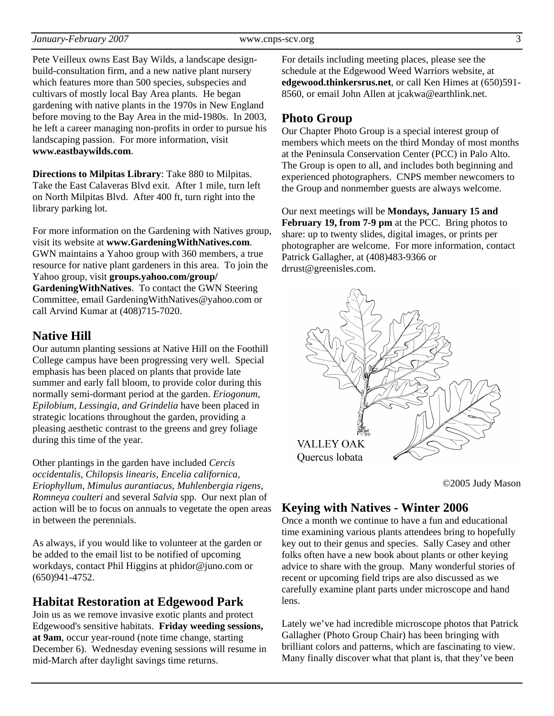Pete Veilleux owns East Bay Wilds, a landscape designbuild-consultation firm, and a new native plant nursery which features more than 500 species, subspecies and cultivars of mostly local Bay Area plants. He began gardening with native plants in the 1970s in New England before moving to the Bay Area in the mid-1980s. In 2003, he left a career managing non-profits in order to pursue his landscaping passion. For more information, visit **www.eastbaywilds.com**.

**Directions to Milpitas Library**: Take 880 to Milpitas. Take the East Calaveras Blvd exit. After 1 mile, turn left on North Milpitas Blvd. After 400 ft, turn right into the library parking lot.

For more information on the Gardening with Natives group, visit its website at **www.GardeningWithNatives.com**. GWN maintains a Yahoo group with 360 members, a true resource for native plant gardeners in this area. To join the Yahoo group, visit **groups.yahoo.com/group/ GardeningWithNatives**. To contact the GWN Steering Committee, email GardeningWithNatives@yahoo.com or call Arvind Kumar at (408)715-7020.

## **Native Hill**

Our autumn planting sessions at Native Hill on the Foothill College campus have been progressing very well. Special emphasis has been placed on plants that provide late summer and early fall bloom, to provide color during this normally semi-dormant period at the garden. *Eriogonum, Epilobium, Lessingia, and Grindelia* have been placed in strategic locations throughout the garden, providing a pleasing aesthetic contrast to the greens and grey foliage during this time of the year.

Other plantings in the garden have included *Cercis occidentalis, Chilopsis linearis, Encelia californica, Eriophyllum, Mimulus aurantiacus, Muhlenbergia rigens, Romneya coulteri* and several *Salvia* spp. Our next plan of action will be to focus on annuals to vegetate the open areas in between the perennials.

As always, if you would like to volunteer at the garden or be added to the email list to be notified of upcoming workdays, contact Phil Higgins at phidor@juno.com or (650)941-4752.

## **Habitat Restoration at Edgewood Park**

Join us as we remove invasive exotic plants and protect Edgewood's sensitive habitats. **Friday weeding sessions, at 9am**, occur year-round (note time change, starting December 6). Wednesday evening sessions will resume in mid-March after daylight savings time returns.

For details including meeting places, please see the schedule at the Edgewood Weed Warriors website, at **edgewood.thinkersrus.net**, or call Ken Himes at (650)591- 8560, or email John Allen at jcakwa@earthlink.net.

## **Photo Group**

Our Chapter Photo Group is a special interest group of members which meets on the third Monday of most months at the Peninsula Conservation Center (PCC) in Palo Alto. The Group is open to all, and includes both beginning and experienced photographers. CNPS member newcomers to the Group and nonmember guests are always welcome.

Our next meetings will be **Mondays, January 15 and February 19, from 7-9 pm** at the PCC. Bring photos to share: up to twenty slides, digital images, or prints per photographer are welcome. For more information, contact Patrick Gallagher, at (408)483-9366 or drrust@greenisles.com.



©2005 Judy Mason

## **Keying with Natives - Winter 2006**

Once a month we continue to have a fun and educational time examining various plants attendees bring to hopefully key out to their genus and species. Sally Casey and other folks often have a new book about plants or other keying advice to share with the group. Many wonderful stories of recent or upcoming field trips are also discussed as we carefully examine plant parts under microscope and hand lens.

Lately we've had incredible microscope photos that Patrick Gallagher (Photo Group Chair) has been bringing with brilliant colors and patterns, which are fascinating to view. Many finally discover what that plant is, that they've been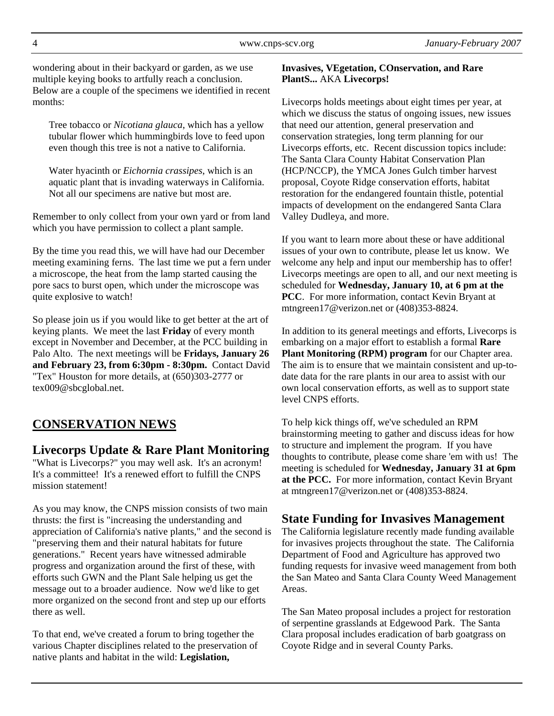wondering about in their backyard or garden, as we use multiple keying books to artfully reach a conclusion. Below are a couple of the specimens we identified in recent months:

Tree tobacco or *Nicotiana glauca*, which has a yellow tubular flower which hummingbirds love to feed upon even though this tree is not a native to California.

Water hyacinth or *Eichornia crassipes*, which is an aquatic plant that is invading waterways in California. Not all our specimens are native but most are.

Remember to only collect from your own yard or from land which you have permission to collect a plant sample.

By the time you read this, we will have had our December meeting examining ferns. The last time we put a fern under a microscope, the heat from the lamp started causing the pore sacs to burst open, which under the microscope was quite explosive to watch!

So please join us if you would like to get better at the art of keying plants. We meet the last **Friday** of every month except in November and December, at the PCC building in Palo Alto. The next meetings will be **Fridays, January 26 and February 23, from 6:30pm - 8:30pm.** Contact David "Tex" Houston for more details, at (650)303-2777 or tex009@sbcglobal.net.

# **CONSERVATION NEWS**

## **Livecorps Update & Rare Plant Monitoring**

"What is Livecorps?" you may well ask. It's an acronym! It's a committee! It's a renewed effort to fulfill the CNPS mission statement!

As you may know, the CNPS mission consists of two main thrusts: the first is "increasing the understanding and appreciation of California's native plants," and the second is "preserving them and their natural habitats for future generations." Recent years have witnessed admirable progress and organization around the first of these, with efforts such GWN and the Plant Sale helping us get the message out to a broader audience. Now we'd like to get more organized on the second front and step up our efforts there as well.

To that end, we've created a forum to bring together the various Chapter disciplines related to the preservation of native plants and habitat in the wild: **Legislation,** 

#### **Invasives, VEgetation, COnservation, and Rare PlantS...** AKA **Livecorps!**

Livecorps holds meetings about eight times per year, at which we discuss the status of ongoing issues, new issues that need our attention, general preservation and conservation strategies, long term planning for our Livecorps efforts, etc. Recent discussion topics include: The Santa Clara County Habitat Conservation Plan (HCP/NCCP), the YMCA Jones Gulch timber harvest proposal, Coyote Ridge conservation efforts, habitat restoration for the endangered fountain thistle, potential impacts of development on the endangered Santa Clara Valley Dudleya, and more.

If you want to learn more about these or have additional issues of your own to contribute, please let us know. We welcome any help and input our membership has to offer! Livecorps meetings are open to all, and our next meeting is scheduled for **Wednesday, January 10, at 6 pm at the PCC**. For more information, contact Kevin Bryant at mtngreen17@verizon.net or (408)353-8824.

In addition to its general meetings and efforts, Livecorps is embarking on a major effort to establish a formal **Rare Plant Monitoring (RPM) program** for our Chapter area. The aim is to ensure that we maintain consistent and up-todate data for the rare plants in our area to assist with our own local conservation efforts, as well as to support state level CNPS efforts.

To help kick things off, we've scheduled an RPM brainstorming meeting to gather and discuss ideas for how to structure and implement the program. If you have thoughts to contribute, please come share 'em with us! The meeting is scheduled for **Wednesday, January 31 at 6pm at the PCC.** For more information, contact Kevin Bryant at mtngreen17@verizon.net or (408)353-8824.

## **State Funding for Invasives Management**

The California legislature recently made funding available for invasives projects throughout the state. The California Department of Food and Agriculture has approved two funding requests for invasive weed management from both the San Mateo and Santa Clara County Weed Management Areas.

The San Mateo proposal includes a project for restoration of serpentine grasslands at Edgewood Park. The Santa Clara proposal includes eradication of barb goatgrass on Coyote Ridge and in several County Parks.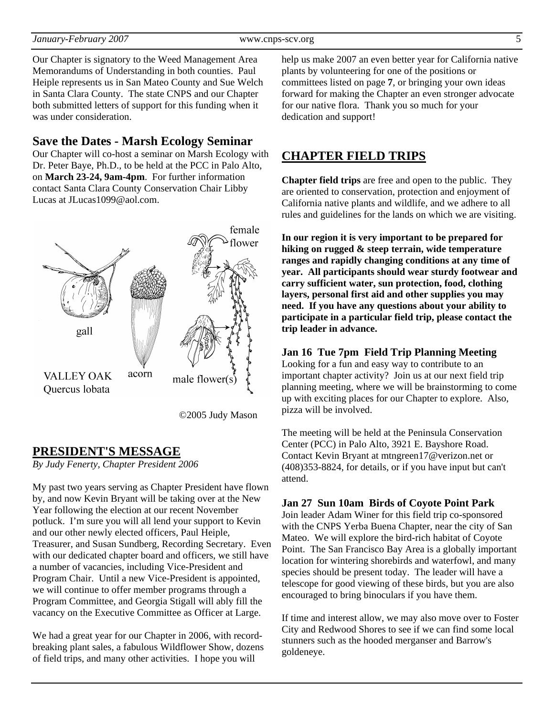#### *January-February 2007* www.cnps-scv.org 5

Our Chapter is signatory to the Weed Management Area Memorandums of Understanding in both counties. Paul Heiple represents us in San Mateo County and Sue Welch in Santa Clara County. The state CNPS and our Chapter both submitted letters of support for this funding when it was under consideration.

#### **Save the Dates - Marsh Ecology Seminar**

Our Chapter will co-host a seminar on Marsh Ecology with Dr. Peter Baye, Ph.D., to be held at the PCC in Palo Alto, on **March 23-24, 9am-4pm**. For further information contact Santa Clara County Conservation Chair Libby Lucas at JLucas1099@aol.com.



©2005 Judy Mason

## **PRESIDENT'S MESSAGE**

*By Judy Fenerty, Chapter President 2006* 

My past two years serving as Chapter President have flown by, and now Kevin Bryant will be taking over at the New Year following the election at our recent November potluck. I'm sure you will all lend your support to Kevin and our other newly elected officers, Paul Heiple, Treasurer, and Susan Sundberg, Recording Secretary. Even with our dedicated chapter board and officers, we still have a number of vacancies, including Vice-President and Program Chair. Until a new Vice-President is appointed, we will continue to offer member programs through a Program Committee, and Georgia Stigall will ably fill the vacancy on the Executive Committee as Officer at Large.

We had a great year for our Chapter in 2006, with recordbreaking plant sales, a fabulous Wildflower Show, dozens of field trips, and many other activities. I hope you will

help us make 2007 an even better year for California native plants by volunteering for one of the positions or committees listed on page **7**, or bringing your own ideas forward for making the Chapter an even stronger advocate for our native flora. Thank you so much for your dedication and support!

## **CHAPTER FIELD TRIPS**

**Chapter field trips** are free and open to the public. They are oriented to conservation, protection and enjoyment of California native plants and wildlife, and we adhere to all rules and guidelines for the lands on which we are visiting.

**In our region it is very important to be prepared for hiking on rugged & steep terrain, wide temperature ranges and rapidly changing conditions at any time of year. All participants should wear sturdy footwear and carry sufficient water, sun protection, food, clothing layers, personal first aid and other supplies you may need. If you have any questions about your ability to participate in a particular field trip, please contact the trip leader in advance.** 

#### **Jan 16 Tue 7pm Field Trip Planning Meeting**

Looking for a fun and easy way to contribute to an important chapter activity? Join us at our next field trip planning meeting, where we will be brainstorming to come up with exciting places for our Chapter to explore. Also, pizza will be involved.

The meeting will be held at the Peninsula Conservation Center (PCC) in Palo Alto, 3921 E. Bayshore Road. Contact Kevin Bryant at mtngreen17@verizon.net or (408)353-8824, for details, or if you have input but can't attend.

#### **Jan 27 Sun 10am Birds of Coyote Point Park**

Join leader Adam Winer for this field trip co-sponsored with the CNPS Yerba Buena Chapter, near the city of San Mateo. We will explore the bird-rich habitat of Coyote Point. The San Francisco Bay Area is a globally important location for wintering shorebirds and waterfowl, and many species should be present today. The leader will have a telescope for good viewing of these birds, but you are also encouraged to bring binoculars if you have them.

If time and interest allow, we may also move over to Foster City and Redwood Shores to see if we can find some local stunners such as the hooded merganser and Barrow's goldeneye.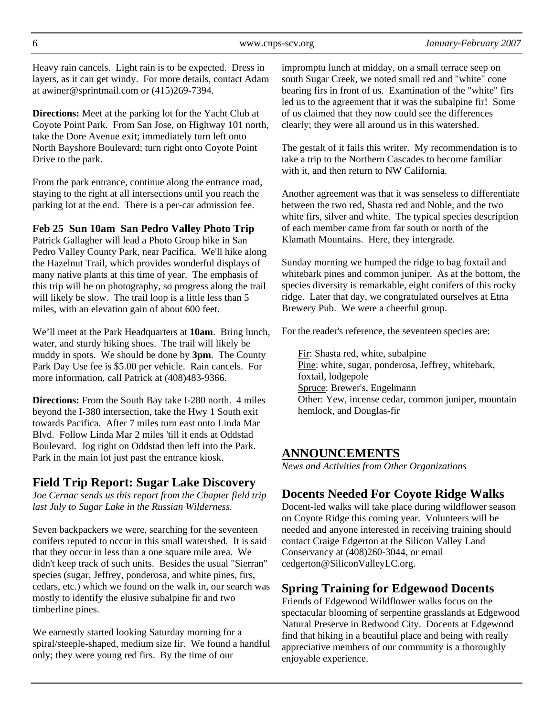Heavy rain cancels. Light rain is to be expected. Dress in layers, as it can get windy. For more details, contact Adam at awiner@sprintmail.com or (415)269-7394.

**Directions:** Meet at the parking lot for the Yacht Club at Coyote Point Park. From San Jose, on Highway 101 north, take the Dore Avenue exit; immediately turn left onto North Bayshore Boulevard; turn right onto Coyote Point Drive to the park.

From the park entrance, continue along the entrance road, staying to the right at all intersections until you reach the parking lot at the end. There is a per-car admission fee.

#### **Feb 25 Sun 10am San Pedro Valley Photo Trip**

Patrick Gallagher will lead a Photo Group hike in San Pedro Valley County Park, near Pacifica. We'll hike along the Hazelnut Trail, which provides wonderful displays of many native plants at this time of year. The emphasis of this trip will be on photography, so progress along the trail will likely be slow. The trail loop is a little less than 5 miles, with an elevation gain of about 600 feet.

We'll meet at the Park Headquarters at **10am**. Bring lunch, water, and sturdy hiking shoes. The trail will likely be muddy in spots. We should be done by **3pm**. The County Park Day Use fee is \$5.00 per vehicle. Rain cancels. For more information, call Patrick at (408)483-9366.

**Directions:** From the South Bay take I-280 north. 4 miles beyond the I-380 intersection, take the Hwy 1 South exit towards Pacifica. After 7 miles turn east onto Linda Mar Blvd. Follow Linda Mar 2 miles 'till it ends at Oddstad Boulevard. Jog right on Oddstad then left into the Park. Park in the main lot just past the entrance kiosk.

## **Field Trip Report: Sugar Lake Discovery**

*Joe Cernac sends us this report from the Chapter field trip last July to Sugar Lake in the Russian Wilderness.* 

Seven backpackers we were, searching for the seventeen conifers reputed to occur in this small watershed. It is said that they occur in less than a one square mile area. We didn't keep track of such units. Besides the usual "Sierran" species (sugar, Jeffrey, ponderosa, and white pines, firs, cedars, etc.) which we found on the walk in, our search was mostly to identify the elusive subalpine fir and two timberline pines.

We earnestly started looking Saturday morning for a spiral/steeple-shaped, medium size fir. We found a handful only; they were young red firs. By the time of our

impromptu lunch at midday, on a small terrace seep on south Sugar Creek, we noted small red and "white" cone bearing firs in front of us. Examination of the "white" firs led us to the agreement that it was the subalpine fir! Some of us claimed that they now could see the differences clearly; they were all around us in this watershed.

The gestalt of it fails this writer. My recommendation is to take a trip to the Northern Cascades to become familiar with it, and then return to NW California.

Another agreement was that it was senseless to differentiate between the two red, Shasta red and Noble, and the two white firs, silver and white. The typical species description of each member came from far south or north of the Klamath Mountains. Here, they intergrade.

Sunday morning we humped the ridge to bag foxtail and whitebark pines and common juniper. As at the bottom, the species diversity is remarkable, eight conifers of this rocky ridge. Later that day, we congratulated ourselves at Etna Brewery Pub. We were a cheerful group.

For the reader's reference, the seventeen species are:

Fir: Shasta red, white, subalpine Pine: white, sugar, ponderosa, Jeffrey, whitebark, foxtail, lodgepole Spruce: Brewer's, Engelmann Other: Yew, incense cedar, common juniper, mountain hemlock, and Douglas-fir

## **ANNOUNCEMENTS**

*News and Activities from Other Organizations*

## **Docents Needed For Coyote Ridge Walks**

Docent-led walks will take place during wildflower season on Coyote Ridge this coming year. Volunteers will be needed and anyone interested in receiving training should contact Craige Edgerton at the Silicon Valley Land Conservancy at (408)260-3044, or email cedgerton@SiliconValleyLC.org.

## **Spring Training for Edgewood Docents**

Friends of Edgewood Wildflower walks focus on the spectacular blooming of serpentine grasslands at Edgewood Natural Preserve in Redwood City. Docents at Edgewood find that hiking in a beautiful place and being with really appreciative members of our community is a thoroughly enjoyable experience.